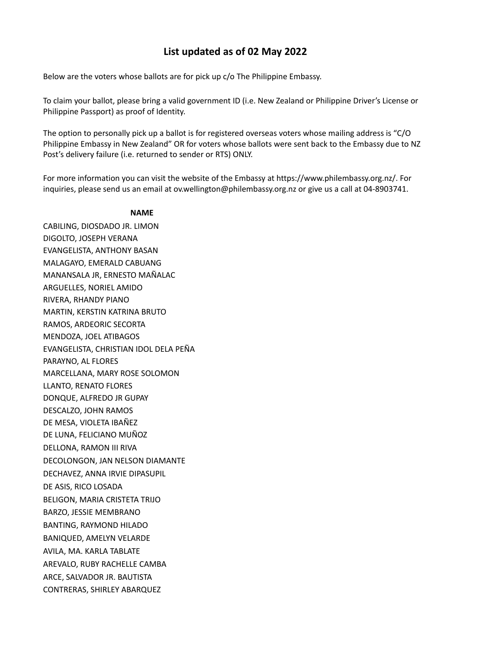## **List updated as of 02 May 2022**

Below are the voters whose ballots are for pick up c/o The Philippine Embassy.

To claim your ballot, please bring a valid government ID (i.e. New Zealand or Philippine Driver's License or Philippine Passport) as proof of Identity.

The option to personally pick up a ballot is for registered overseas voters whose mailing address is "C/O Philippine Embassy in New Zealand" OR for voters whose ballots were sent back to the Embassy due to NZ Post's delivery failure (i.e. returned to sender or RTS) ONLY.

For more information you can visit the website of the Embassy at https://www.philembassy.org.nz/. For inquiries, please send us an email at ov.wellington@philembassy.org.nz or give us a call at 04-8903741.

## **NAME**

CABILING, DIOSDADO JR. LIMON DIGOLTO, JOSEPH VERANA EVANGELISTA, ANTHONY BASAN MALAGAYO, EMERALD CABUANG MANANSALA JR, ERNESTO MAÑALAC ARGUELLES, NORIEL AMIDO RIVERA, RHANDY PIANO MARTIN, KERSTIN KATRINA BRUTO RAMOS, ARDEORIC SECORTA MENDOZA, JOEL ATIBAGOS EVANGELISTA, CHRISTIAN IDOL DELA PEÑA PARAYNO, AL FLORES MARCELLANA, MARY ROSE SOLOMON LLANTO, RENATO FLORES DONQUE, ALFREDO JR GUPAY DESCALZO, JOHN RAMOS DE MESA, VIOLETA IBAÑEZ DE LUNA, FELICIANO MUÑOZ DELLONA, RAMON III RIVA DECOLONGON, JAN NELSON DIAMANTE DECHAVEZ, ANNA IRVIE DIPASUPIL DE ASIS, RICO LOSADA BELIGON, MARIA CRISTETA TRIJO BARZO, JESSIE MEMBRANO BANTING, RAYMOND HILADO BANIQUED, AMELYN VELARDE AVILA, MA. KARLA TABLATE AREVALO, RUBY RACHELLE CAMBA ARCE, SALVADOR JR. BAUTISTA CONTRERAS, SHIRLEY ABARQUEZ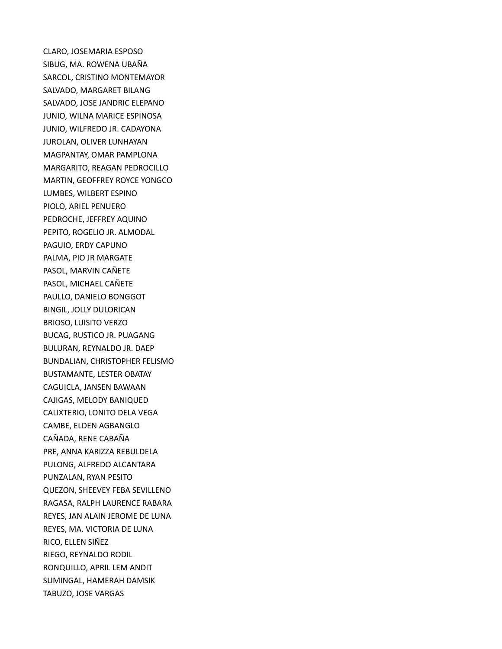CLARO, JOSEMARIA ESPOSO SIBUG, MA. ROWENA UBAÑA SARCOL, CRISTINO MONTEMAYOR SALVADO, MARGARET BILANG SALVADO, JOSE JANDRIC ELEPANO JUNIO, WILNA MARICE ESPINOSA JUNIO, WILFREDO JR. CADAYONA JUROLAN, OLIVER LUNHAYAN MAGPANTAY, OMAR PAMPLONA MARGARITO, REAGAN PEDROCILLO MARTIN, GEOFFREY ROYCE YONGCO LUMBES, WILBERT ESPINO PIOLO, ARIEL PENUERO PEDROCHE, JEFFREY AQUINO PEPITO, ROGELIO JR. ALMODAL PAGUIO, ERDY CAPUNO PALMA, PIO JR MARGATE PASOL, MARVIN CAÑETE PASOL, MICHAEL CAÑETE PAULLO, DANIELO BONGGOT BINGIL, JOLLY DULORICAN BRIOSO, LUISITO VERZO BUCAG, RUSTICO JR. PUAGANG BULURAN, REYNALDO JR. DAEP BUNDALIAN, CHRISTOPHER FELISMO BUSTAMANTE, LESTER OBATAY CAGUICLA, JANSEN BAWAAN CAJIGAS, MELODY BANIQUED CALIXTERIO, LONITO DELA VEGA CAMBE, ELDEN AGBANGLO CAÑADA, RENE CABAÑA PRE, ANNA KARIZZA REBULDELA PULONG, ALFREDO ALCANTARA PUNZALAN, RYAN PESITO QUEZON, SHEEVEY FEBA SEVILLENO RAGASA, RALPH LAURENCE RABARA REYES, JAN ALAIN JEROME DE LUNA REYES, MA. VICTORIA DE LUNA RICO, ELLEN SIÑEZ RIEGO, REYNALDO RODIL RONQUILLO, APRIL LEM ANDIT SUMINGAL, HAMERAH DAMSIK TABUZO, JOSE VARGAS